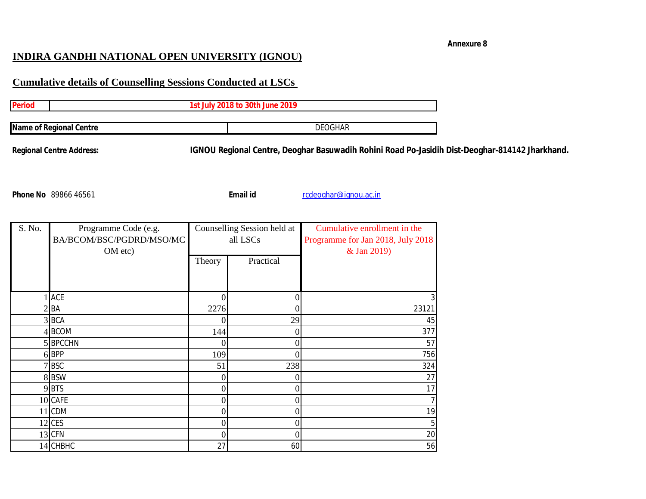## **Annexure 8**

## **INDIRA GANDHI NATIONAL OPEN UNIVERSITY (IGNOU)**

## **Cumulative details of Counselling Sessions Conducted at LSCs**

| 1st July 2018 to 30th June 2019 |  |                |  |  |  |
|---------------------------------|--|----------------|--|--|--|
| Name of Regional Centre         |  | <b>DEOGHAR</b> |  |  |  |

**Regional Centre Address: IGNOU Regional Centre, Deoghar Basuwadih Rohini Road Po-Jasidih Dist-Deoghar-814142 Jharkhand.**

**Email id Phone 26 and 89 and 8986 1666 Email id** rcdeoghar@ignou.ac.in

| S. No. | Programme Code (e.g.     | Counselling Session held at |                  | Cumulative enrollment in the      |
|--------|--------------------------|-----------------------------|------------------|-----------------------------------|
|        | BA/BCOM/BSC/PGDRD/MSO/MC | all LSCs                    |                  | Programme for Jan 2018, July 2018 |
|        | OM etc)                  |                             |                  | & Jan 2019)                       |
|        |                          | Theory                      | Practical        |                                   |
|        |                          |                             |                  |                                   |
|        |                          |                             |                  |                                   |
|        | ACE                      | 0                           | $\boldsymbol{0}$ |                                   |
|        | $2$ $BA$                 | 2276                        | 0                | 23121                             |
|        | 3BCA                     | 0                           | 29               | 45                                |
|        | 4BCOM                    | 144                         | 0                | 377                               |
|        | 5BPCCHN                  |                             | 0                | 57                                |
|        | 6BPP                     | 109                         | 0                | 756                               |
|        | 7 BSC                    | 51                          | 238              | 324                               |
|        | 8BSW                     | 0                           | 0                | 27                                |
|        | 9BTS                     | 0                           | $\boldsymbol{0}$ | 17                                |
|        | 10 CAFE                  | 0                           | 0                |                                   |
|        | 11 CDM                   | 0                           | $\overline{0}$   | 19                                |
|        | 12 CES                   | 0                           | 0                |                                   |
|        | 13 CFN                   | 0                           | 0                | 20                                |
|        | 14 CHBHC                 | 27                          | 60               | 56                                |